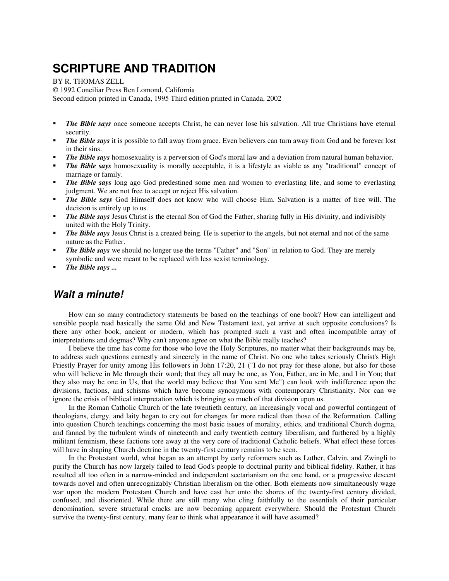# **SCRIPTURE AND TRADITION**

BY R. THOMAS ZELL

© 1992 Conciliar Press Ben Lomond, California Second edition printed in Canada, 1995 Third edition printed in Canada, 2002

- *The Bible says* once someone accepts Christ, he can never lose his salvation. All true Christians have eternal security.
- *The Bible says* it is possible to fall away from grace. Even believers can turn away from God and be forever lost in their sins.
- *The Bible says* homosexuality is a perversion of God's moral law and a deviation from natural human behavior.
- *The Bible says* homosexuality is morally acceptable, it is a lifestyle as viable as any "traditional" concept of marriage or family.
- *The Bible says* long ago God predestined some men and women to everlasting life, and some to everlasting judgment. We are not free to accept or reject His salvation.
- *The Bible says* God Himself does not know who will choose Him. Salvation is a matter of free will. The decision is entirely up to us.
- **The Bible says** Jesus Christ is the eternal Son of God the Father, sharing fully in His divinity, and indivisibly united with the Holy Trinity.
- *The Bible says* Jesus Christ is a created being. He is superior to the angels, but not eternal and not of the same nature as the Father.
- *The Bible says* we should no longer use the terms "Father" and "Son" in relation to God. They are merely symbolic and were meant to be replaced with less sexist terminology.
- *The Bible says ...*

## **Wait a minute!**

How can so many contradictory statements be based on the teachings of one book? How can intelligent and sensible people read basically the same Old and New Testament text, yet arrive at such opposite conclusions? Is there any other book, ancient or modern, which has prompted such a vast and often incompatible array of interpretations and dogmas? Why can't anyone agree on what the Bible really teaches?

I believe the time has come for those who love the Holy Scriptures, no matter what their backgrounds may be, to address such questions earnestly and sincerely in the name of Christ. No one who takes seriously Christ's High Priestly Prayer for unity among His followers in John 17:20, 21 ("I do not pray for these alone, but also for those who will believe in Me through their word; that they all may be one, as You, Father, are in Me, and I in You; that they also may be one in Us, that the world may believe that You sent Me") can look with indifference upon the divisions, factions, and schisms which have become synonymous with contemporary Christianity. Nor can we ignore the crisis of biblical interpretation which is bringing so much of that division upon us.

In the Roman Catholic Church of the late twentieth century, an increasingly vocal and powerful contingent of theologians, clergy, and laity began to cry out for changes far more radical than those of the Reformation. Calling into question Church teachings concerning the most basic issues of morality, ethics, and traditional Church dogma, and fanned by the turbulent winds of nineteenth and early twentieth century liberalism, and furthered by a highly militant feminism, these factions tore away at the very core of traditional Catholic beliefs. What effect these forces will have in shaping Church doctrine in the twenty-first century remains to be seen.

In the Protestant world, what began as an attempt by early reformers such as Luther, Calvin, and Zwingli to purify the Church has now largely failed to lead God's people to doctrinal purity and biblical fidelity. Rather, it has resulted all too often in a narrow-minded and independent sectarianism on the one hand, or a progressive descent towards novel and often unrecognizably Christian liberalism on the other. Both elements now simultaneously wage war upon the modern Protestant Church and have cast her onto the shores of the twenty-first century divided, confused, and disoriented. While there are still many who cling faithfully to the essentials of their particular denomination, severe structural cracks are now becoming apparent everywhere. Should the Protestant Church survive the twenty-first century, many fear to think what appearance it will have assumed?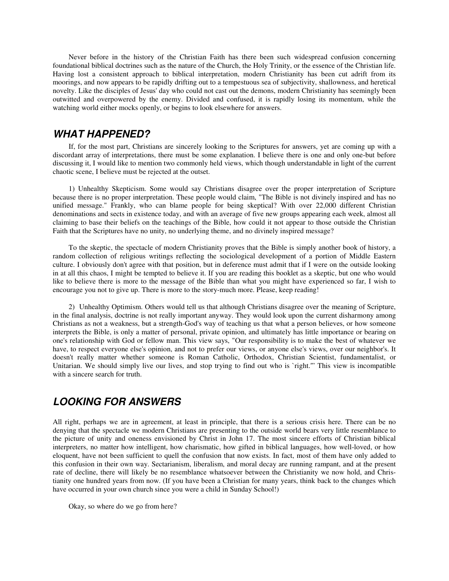Never before in the history of the Christian Faith has there been such widespread confusion concerning foundational biblical doctrines such as the nature of the Church, the Holy Trinity, or the essence of the Christian life. Having lost a consistent approach to biblical interpretation, modern Christianity has been cut adrift from its moorings, and now appears to be rapidly drifting out to a tempestuous sea of subjectivity, shallowness, and heretical novelty. Like the disciples of Jesus' day who could not cast out the demons, modern Christianity has seemingly been outwitted and overpowered by the enemy. Divided and confused, it is rapidly losing its momentum, while the watching world either mocks openly, or begins to look elsewhere for answers.

#### **WHAT HAPPENED?**

If, for the most part, Christians are sincerely looking to the Scriptures for answers, yet are coming up with a discordant array of interpretations, there must be some explanation. I believe there is one and only one-but before discussing it, I would like to mention two commonly held views, which though understandable in light of the current chaotic scene, I believe must be rejected at the outset.

1) Unhealthy Skepticism. Some would say Christians disagree over the proper interpretation of Scripture because there is no proper interpretation. These people would claim, "The Bible is not divinely inspired and has no unified message." Frankly, who can blame people for being skeptical? With over 22,000 different Christian denominations and sects in existence today, and with an average of five new groups appearing each week, almost all claiming to base their beliefs on the teachings of the Bible, how could it not appear to those outside the Christian Faith that the Scriptures have no unity, no underlying theme, and no divinely inspired message?

To the skeptic, the spectacle of modern Christianity proves that the Bible is simply another book of history, a random collection of religious writings reflecting the sociological development of a portion of Middle Eastern culture. I obviously don't agree with that position, but in deference must admit that if I were on the outside looking in at all this chaos, I might be tempted to believe it. If you are reading this booklet as a skeptic, but one who would like to believe there is more to the message of the Bible than what you might have experienced so far, I wish to encourage you not to give up. There is more to the story-much more. Please, keep reading!

2) Unhealthy Optimism. Others would tell us that although Christians disagree over the meaning of Scripture, in the final analysis, doctrine is not really important anyway. They would look upon the current disharmony among Christians as not a weakness, but a strength-God's way of teaching us that what a person believes, or how someone interprets the Bible, is only a matter of personal, private opinion, and ultimately has little importance or bearing on one's relationship with God or fellow man. This view says, "Our responsibility is to make the best of whatever we have, to respect everyone else's opinion, and not to prefer our views, or anyone else's views, over our neighbor's. It doesn't really matter whether someone is Roman Catholic, Orthodox, Christian Scientist, fundamentalist, or Unitarian. We should simply live our lives, and stop trying to find out who is `right.'" This view is incompatible with a sincere search for truth.

# **LOOKING FOR ANSWERS**

All right, perhaps we are in agreement, at least in principle, that there is a serious crisis here. There can be no denying that the spectacle we modern Christians are presenting to the outside world bears very little resemblance to the picture of unity and oneness envisioned by Christ in John 17. The most sincere efforts of Christian biblical interpreters, no matter how intelligent, how charismatic, how gifted in biblical languages, how well-loved, or how eloquent, have not been sufficient to quell the confusion that now exists. In fact, most of them have only added to this confusion in their own way. Sectarianism, liberalism, and moral decay are running rampant, and at the present rate of decline, there will likely be no resemblance whatsoever between the Christianity we now hold, and Christianity one hundred years from now. (If you have been a Christian for many years, think back to the changes which have occurred in your own church since you were a child in Sunday School!)

Okay, so where do we go from here?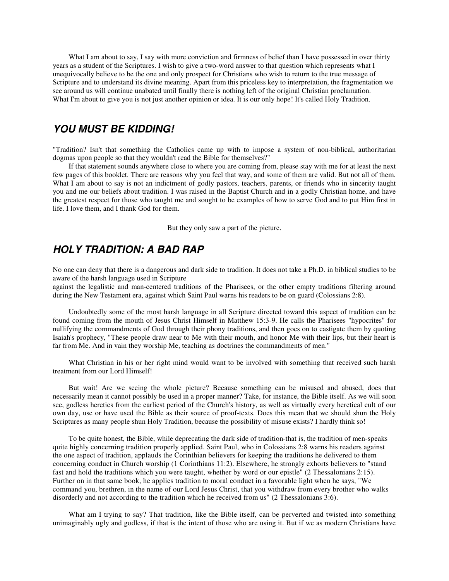What I am about to say, I say with more conviction and firmness of belief than I have possessed in over thirty years as a student of the Scriptures. I wish to give a two-word answer to that question which represents what I unequivocally believe to be the one and only prospect for Christians who wish to return to the true message of Scripture and to understand its divine meaning. Apart from this priceless key to interpretation, the fragmentation we see around us will continue unabated until finally there is nothing left of the original Christian proclamation. What I'm about to give you is not just another opinion or idea. It is our only hope! It's called Holy Tradition.

#### **YOU MUST BE KIDDING!**

"Tradition? Isn't that something the Catholics came up with to impose a system of non-biblical, authoritarian dogmas upon people so that they wouldn't read the Bible for themselves?"

If that statement sounds anywhere close to where you are coming from, please stay with me for at least the next few pages of this booklet. There are reasons why you feel that way, and some of them are valid. But not all of them. What I am about to say is not an indictment of godly pastors, teachers, parents, or friends who in sincerity taught you and me our beliefs about tradition. I was raised in the Baptist Church and in a godly Christian home, and have the greatest respect for those who taught me and sought to be examples of how to serve God and to put Him first in life. I love them, and I thank God for them.

But they only saw a part of the picture.

#### **HOLY TRADITION: A BAD RAP**

No one can deny that there is a dangerous and dark side to tradition. It does not take a Ph.D. in biblical studies to be aware of the harsh language used in Scripture

against the legalistic and man-centered traditions of the Pharisees, or the other empty traditions filtering around during the New Testament era, against which Saint Paul warns his readers to be on guard (Colossians 2:8).

Undoubtedly some of the most harsh language in all Scripture directed toward this aspect of tradition can be found coming from the mouth of Jesus Christ Himself in Matthew 15:3-9. He calls the Pharisees "hypocrites" for nullifying the commandments of God through their phony traditions, and then goes on to castigate them by quoting Isaiah's prophecy, "These people draw near to Me with their mouth, and honor Me with their lips, but their heart is far from Me. And in vain they worship Me, teaching as doctrines the commandments of men."

What Christian in his or her right mind would want to be involved with something that received such harsh treatment from our Lord Himself!

But wait! Are we seeing the whole picture? Because something can be misused and abused, does that necessarily mean it cannot possibly be used in a proper manner? Take, for instance, the Bible itself. As we will soon see, godless heretics from the earliest period of the Church's history, as well as virtually every heretical cult of our own day, use or have used the Bible as their source of proof-texts. Does this mean that we should shun the Holy Scriptures as many people shun Holy Tradition, because the possibility of misuse exists? I hardly think so!

To be quite honest, the Bible, while deprecating the dark side of tradition-that is, the tradition of men-speaks quite highly concerning tradition properly applied. Saint Paul, who in Colossians 2:8 warns his readers against the one aspect of tradition, applauds the Corinthian believers for keeping the traditions he delivered to them concerning conduct in Church worship (1 Corinthians 11:2). Elsewhere, he strongly exhorts believers to "stand fast and hold the traditions which you were taught, whether by word or our epistle" (2 Thessalonians 2:15). Further on in that same book, he applies tradition to moral conduct in a favorable light when he says, "We command you, brethren, in the name of our Lord Jesus Christ, that you withdraw from every brother who walks disorderly and not according to the tradition which he received from us" (2 Thessalonians 3:6).

What am I trying to say? That tradition, like the Bible itself, can be perverted and twisted into something unimaginably ugly and godless, if that is the intent of those who are using it. But if we as modern Christians have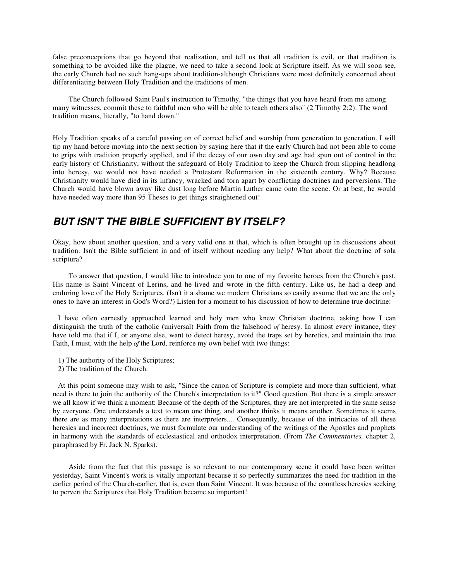false preconceptions that go beyond that realization, and tell us that all tradition is evil, or that tradition is something to be avoided like the plague, we need to take a second look at Scripture itself. As we will soon see, the early Church had no such hang-ups about tradition-although Christians were most definitely concerned about differentiating between Holy Tradition and the traditions of men.

The Church followed Saint Paul's instruction to Timothy, "the things that you have heard from me among many witnesses, commit these to faithful men who will be able to teach others also" (2 Timothy 2:2). The word tradition means, literally, "to hand down."

Holy Tradition speaks of a careful passing on of correct belief and worship from generation to generation. I will tip my hand before moving into the next section by saying here that if the early Church had not been able to come to grips with tradition properly applied, and if the decay of our own day and age had spun out of control in the early history of Christianity, without the safeguard of Holy Tradition to keep the Church from slipping headlong into heresy, we would not have needed a Protestant Reformation in the sixteenth century. Why? Because Christianity would have died in its infancy, wracked and torn apart by conflicting doctrines and perversions. The Church would have blown away like dust long before Martin Luther came onto the scene. Or at best, he would have needed way more than 95 Theses to get things straightened out!

# **BUT ISN'T THE BIBLE SUFFICIENT BY ITSELF?**

Okay, how about another question, and a very valid one at that, which is often brought up in discussions about tradition. Isn't the Bible sufficient in and of itself without needing any help? What about the doctrine of sola scriptura?

To answer that question, I would like to introduce you to one of my favorite heroes from the Church's past. His name is Saint Vincent of Lerins, and he lived and wrote in the fifth century. Like us, he had a deep and enduring love of the Holy Scriptures. (Isn't it a shame we modern Christians so easily assume that we are the only ones to have an interest in God's Word?) Listen for a moment to his discussion of how to determine true doctrine:

I have often earnestly approached learned and holy men who knew Christian doctrine, asking how I can distinguish the truth of the catholic (universal) Faith from the falsehood *of* heresy. In almost every instance, they have told me that if I, or anyone else, want to detect heresy, avoid the traps set by heretics, and maintain the true Faith, I must, with the help *of* the Lord, reinforce my own belief with two things:

- 1) The authority of the Holy Scriptures;
- 2) The tradition of the Church.

At this point someone may wish to ask, "Since the canon of Scripture is complete and more than sufficient, what need is there to join the authority of the Church's interpretation to it?" Good question. But there is a simple answer we all know if we think a moment: Because of the depth of the Scriptures, they are not interpreted in the same sense by everyone. One understands a text to mean one thing, and another thinks it means another. Sometimes it seems there are as many interpretations as there are interpreters.... Consequently, because of the intricacies of all these heresies and incorrect doctrines, we must formulate our understanding of the writings of the Apostles and prophets in harmony with the standards of ecclesiastical and orthodox interpretation. (From *The Commentaries,* chapter 2, paraphrased by Fr. Jack N. Sparks).

Aside from the fact that this passage is so relevant to our contemporary scene it could have been written yesterday, Saint Vincent's work is vitally important because it so perfectly summarizes the need for tradition in the earlier period of the Church-earlier, that is, even than Saint Vincent. It was because of the countless heresies seeking to pervert the Scriptures that Holy Tradition became so important!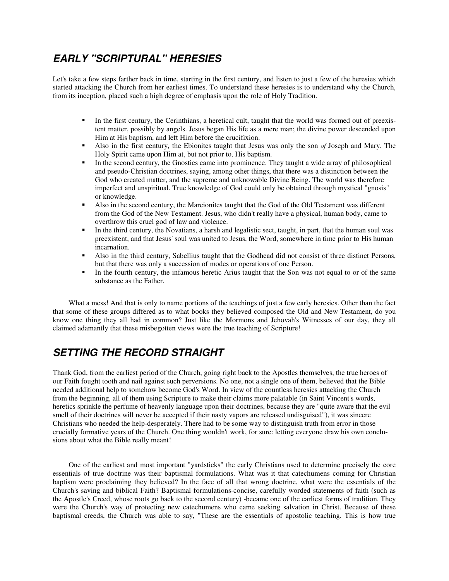# **EARLY "SCRIPTURAL" HERESIES**

Let's take a few steps farther back in time, starting in the first century, and listen to just a few of the heresies which started attacking the Church from her earliest times. To understand these heresies is to understand why the Church, from its inception, placed such a high degree of emphasis upon the role of Holy Tradition.

- In the first century, the Cerinthians, a heretical cult, taught that the world was formed out of preexistent matter, possibly by angels. Jesus began His life as a mere man; the divine power descended upon Him at His baptism, and left Him before the crucifixion.
- Also in the first century, the Ebionites taught that Jesus was only the son *of* Joseph and Mary. The Holy Spirit came upon Him at, but not prior to, His baptism.
- In the second century, the Gnostics came into prominence. They taught a wide array of philosophical and pseudo-Christian doctrines, saying, among other things, that there was a distinction between the God who created matter, and the supreme and unknowable Divine Being. The world was therefore imperfect and unspiritual. True knowledge of God could only be obtained through mystical "gnosis" or knowledge.
- Also in the second century, the Marcionites taught that the God of the Old Testament was different from the God of the New Testament. Jesus, who didn't really have a physical, human body, came to overthrow this cruel god of law and violence.
- In the third century, the Novatians, a harsh and legalistic sect, taught, in part, that the human soul was preexistent, and that Jesus' soul was united to Jesus, the Word, somewhere in time prior to His human incarnation.
- Also in the third century, Sabellius taught that the Godhead did not consist of three distinct Persons, but that there was only a succession of modes or operations of one Person.
- In the fourth century, the infamous heretic Arius taught that the Son was not equal to or of the same substance as the Father.

What a mess! And that is only to name portions of the teachings of just a few early heresies. Other than the fact that some of these groups differed as to what books they believed composed the Old and New Testament, do you know one thing they all had in common? Just like the Mormons and Jehovah's Witnesses of our day, they all claimed adamantly that these misbegotten views were the true teaching of Scripture!

# **SETTING THE RECORD STRAIGHT**

Thank God, from the earliest period of the Church, going right back to the Apostles themselves, the true heroes of our Faith fought tooth and nail against such perversions. No one, not a single one of them, believed that the Bible needed additional help to somehow become God's Word. In view of the countless heresies attacking the Church from the beginning, all of them using Scripture to make their claims more palatable (in Saint Vincent's words, heretics sprinkle the perfume of heavenly language upon their doctrines, because they are "quite aware that the evil smell of their doctrines will never be accepted if their nasty vapors are released undisguised"), it was sincere Christians who needed the help-desperately. There had to be some way to distinguish truth from error in those crucially formative years of the Church. One thing wouldn't work, for sure: letting everyone draw his own conclusions about what the Bible really meant!

One of the earliest and most important "yardsticks" the early Christians used to determine precisely the core essentials of true doctrine was their baptismal formulations. What was it that catechumens coming for Christian baptism were proclaiming they believed? In the face of all that wrong doctrine, what were the essentials of the Church's saving and biblical Faith? Baptismal formulations-concise, carefully worded statements of faith (such as the Apostle's Creed, whose roots go back to the second century) -became one of the earliest forms of tradition. They were the Church's way of protecting new catechumens who came seeking salvation in Christ. Because of these baptismal creeds, the Church was able to say, "These are the essentials of apostolic teaching. This is how true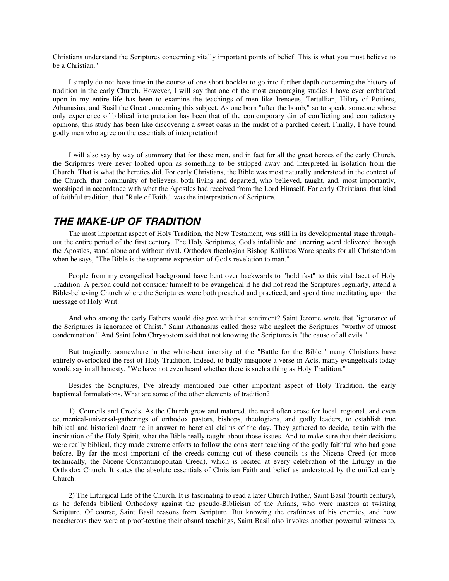Christians understand the Scriptures concerning vitally important points of belief. This is what you must believe to be a Christian."

I simply do not have time in the course of one short booklet to go into further depth concerning the history of tradition in the early Church. However, I will say that one of the most encouraging studies I have ever embarked upon in my entire life has been to examine the teachings of men like Irenaeus, Tertullian, Hilary of Poitiers, Athanasius, and Basil the Great concerning this subject. As one born "after the bomb," so to speak, someone whose only experience of biblical interpretation has been that of the contemporary din of conflicting and contradictory opinions, this study has been like discovering a sweet oasis in the midst of a parched desert. Finally, I have found godly men who agree on the essentials of interpretation!

I will also say by way of summary that for these men, and in fact for all the great heroes of the early Church, the Scriptures were never looked upon as something to be stripped away and interpreted in isolation from the Church. That is what the heretics did. For early Christians, the Bible was most naturally understood in the context of the Church, that community of believers, both living and departed, who believed, taught, and, most importantly, worshiped in accordance with what the Apostles had received from the Lord Himself. For early Christians, that kind of faithful tradition, that "Rule of Faith," was the interpretation of Scripture.

#### **THE MAKE-UP OF TRADITION**

The most important aspect of Holy Tradition, the New Testament, was still in its developmental stage throughout the entire period of the first century. The Holy Scriptures, God's infallible and unerring word delivered through the Apostles, stand alone and without rival. Orthodox theologian Bishop Kallistos Ware speaks for all Christendom when he says, "The Bible is the supreme expression of God's revelation to man."

People from my evangelical background have bent over backwards to "hold fast" to this vital facet of Holy Tradition. A person could not consider himself to be evangelical if he did not read the Scriptures regularly, attend a Bible-believing Church where the Scriptures were both preached and practiced, and spend time meditating upon the message of Holy Writ.

And who among the early Fathers would disagree with that sentiment? Saint Jerome wrote that "ignorance of the Scriptures is ignorance of Christ." Saint Athanasius called those who neglect the Scriptures "worthy of utmost condemnation." And Saint John Chrysostom said that not knowing the Scriptures is "the cause of all evils."

But tragically, somewhere in the white-heat intensity of the "Battle for the Bible," many Christians have entirely overlooked the rest of Holy Tradition. Indeed, to badly misquote a verse in Acts, many evangelicals today would say in all honesty, "We have not even heard whether there is such a thing as Holy Tradition."

Besides the Scriptures, I've already mentioned one other important aspect of Holy Tradition, the early baptismal formulations. What are some of the other elements of tradition?

1) Councils and Creeds. As the Church grew and matured, the need often arose for local, regional, and even ecumenical-universal-gatherings of orthodox pastors, bishops, theologians, and godly leaders, to establish true biblical and historical doctrine in answer to heretical claims of the day. They gathered to decide, again with the inspiration of the Holy Spirit, what the Bible really taught about those issues. And to make sure that their decisions were really biblical, they made extreme efforts to follow the consistent teaching of the godly faithful who had gone before. By far the most important of the creeds coming out of these councils is the Nicene Creed (or more technically, the Nicene-Constantinopolitan Creed), which is recited at every celebration of the Liturgy in the Orthodox Church. It states the absolute essentials of Christian Faith and belief as understood by the unified early Church.

2) The Liturgical Life of the Church. It is fascinating to read a later Church Father, Saint Basil (fourth century), as he defends biblical Orthodoxy against the pseudo-Biblicism of the Arians, who were masters at twisting Scripture. Of course, Saint Basil reasons from Scripture. But knowing the craftiness of his enemies, and how treacherous they were at proof-texting their absurd teachings, Saint Basil also invokes another powerful witness to,